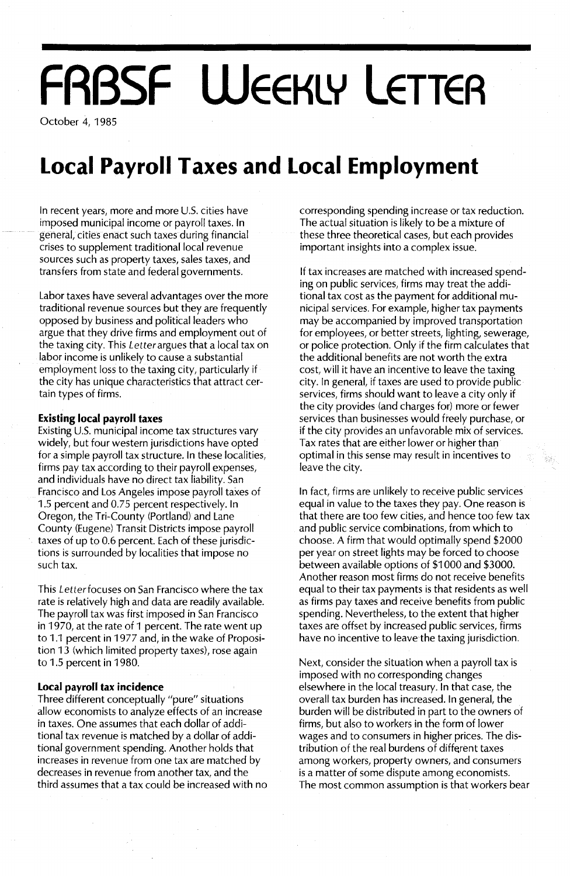# **FRBSF WEEKLY LETTER**

October 4, 1985

### **Local Payroll Taxes and Local Employment**

In recent years, more and more U.S. cities have imposed municipal income or payroll taxes. In general, cities enact such taxes during financial crises to supplement traditional local revenue sources such as property taxes, sales taxes, and transfers from state and federal governments.

Labor taxes have several advantages over the more traditional revenue sources but they are frequently opposed by business and political leaders who argue that they drive firms and employment out of the taxing city. This Letterargues that a local tax on labor income is unlikely to cause a substantial employment loss to the taxing city, particularly if the city has unique characteristics that attract certain types of firms.

#### **Existing local payroll taxes**

Existing U.s. municipal income tax structures vary widely, but four western jurisdictions have opted for a simple payroll tax structure. In these localities, firms pay tax according to their payroll expenses, and individuals have no direct tax liability. San Francisco and Los Angeles impose payroll taxes of 1.5 percent and 0.75 percent respectively. In Oregon, the Tri-County (Portland) and Lane County (Eugene) Transit Districts impose payroll taxes of up to 0.6 percent. Each of these jurisdictions is surrounded by localities that impose no such tax.

This Letterfocuses on San Francisco where the tax rate is relatively high and data are readily available. The payroll tax was first imposed in San Francisco in 1970, at the rate of 1 percent. The rate went up to 1.1 percent in 1977 and, in the wake of Proposition 13 (which limited property taxes), rose again to 1.5 percent in 1980.

#### **Local payroll tax incidence**

Three different conceptually "pure" situations allow economists to analyze effects of an increase in taxes. One assumes that each dollar of additional tax revenue is matched by a dollar of additional government spending. Another holds that increases in revenue from one tax are matched by decreases in revenue from another tax, and the third assumes that a tax could be increased with no

corresponding spending increase or tax reduction. The actual situation is likely to be a mixture of these three theoretical cases, but each provides important insights into a complex issue.

If tax increases are matched with increased spending on public services, firms may treat the additional tax cost as the payment for additional municipal services. For example, higher tax payments may be accompanied by improved transportation for employees, or better streets, lighting, sewerage, or police protection. Only if the firm calculates that the additional benefits are not worth the extra cost, will it have an incentive to leave the taxing city. In general, if taxes are used to provide public services, firms should want to leave a city only if the city provides (and charges for) more or fewer services than businesses would freely purchase, or if the city provides an unfavorable mix of services. Tax rates that are either lower or higher than optimal in this sense may result in incentives to leave the city.

翁

In fact, firms are unlikely to receive public services equal in value to the taxes they pay. One reason is that there are too few cities, and hence too few tax and public service combinations, from which to choose. A firm that would optimally spend \$2000 per year on street lights may be forced to choose between available options of \$1 000 and \$3000. Another reason most firms do not receive benefits equal to their tax payments is that residents as well as firms pay taxes and receive benefits from public spending. Nevertheless, to the extent that higher taxes are offset by increased public services, firms have no incentive to leave the taxing jurisdiction.

Next, consider the situation when a payroll tax is imposed with no corresponding changes elsewhere in the local treasury. In that case, the overall tax burden has increased. In general, the burden will be distributed in part to the owners of firms, but also to workers in the form of lower wages and to consumers in higher prices. The distribution of the real burdens of different taxes among workers, property owners, and consumers is a matter of some dispute among economists. The most common assumption is that workers bear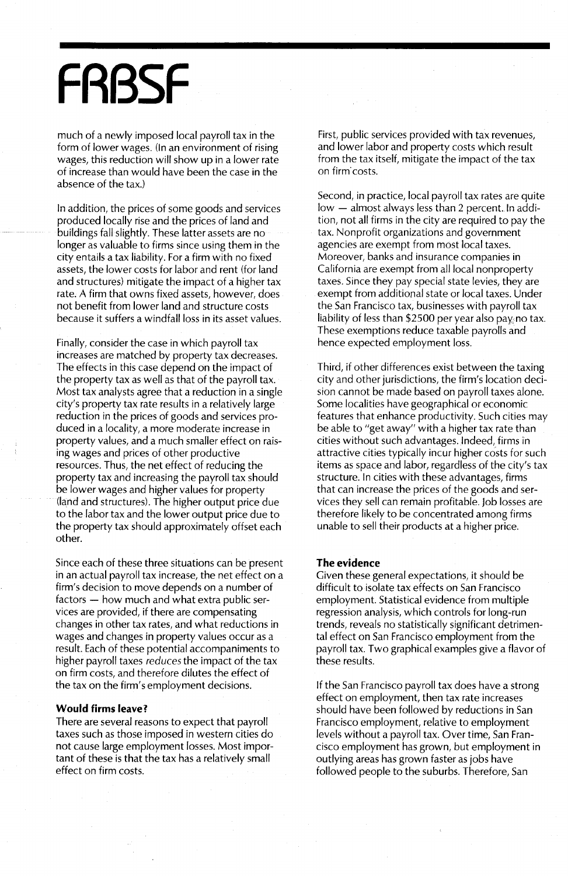## **FRBSF**

much of a newly imposed local payroll tax in the form of lower wages. (In an environment of rising wages, this reduction will show up in a lower rate of increase than would have been the case in the absence of the tax.)

In addition, the prices of some goods and services produced locally rise and the prices of land and buildings fall slightly. These latter assets are no longer as valuable to firms since using them in the city entails a tax liability. For a firm with no fixed assets, the lower costs for labor and rent (for land and structures) mitigate the impact of a higher tax rate. A firm that owns fixed assets, however, does not benefit from lower land and structure costs because it suffers a windfall loss in its asset values.

Finally, consider the case in which payroll tax increases are matched by property tax decreases. The effects in this case depend on the impact of the property tax as well as that of the payroll tax. Most tax analysts agree that a reduction in a single city's property tax rate results in a relatively large reduction in the prices of goods and services produced in a locality, a more moderate increase in property values, and a much smaller effect on raising wages and prices of other productive resources. Thus, the net effect of reducing the property tax and increasing the payroll tax should be lower wages and higher values for property (land and structures). The higher output price due to the labor tax and the lower output price due to the property tax should approximately offset each other.

Since each of these three situations can be present in an actual payroll tax increase, the net effect on a firm's decision to move depends on a number of factors - how much and what extra public services are provided, if there are compensating changes in other tax rates, and what reductions in wages and changes in property values occur as a result. Each of these potential accompaniments to higher payroll taxes *reduces* the impact of the tax on firm costs, and therefore dilutes the effect of the tax on the firm's employment decisions.

#### **Would firms leave?**

There are several reasons to expect that payroll taxes such as those imposed in western cities do not cause large employment losses. Most important of these is that the tax has a relatively small effect on firm costs.

First, public services provided with tax revenues, and lower labor and property costs which result from the tax itself, mitigate the impact of the tax on firm costs.

Second, in practice, local payroll tax rates are quite low - almost always less than 2 percent. In addition, not all firms in the city are required to pay the tax. Nonprofit organizations and government agencies are exempt from most local taxes. Moreover, banks and insurance companies in California are exempt from all local nonproperty taxes. Since they pay special state levies, they are exempt from additional state or local taxes. Under the San Francisco tax, businesses with payroll tax liability of less than \$2500 per year also pay no tax. These exemptions reduce taxable payrolls and hence expected employment loss.

Third, if other differences exist between the taxing city and other jurisdictions, the firm's location decision cannot be made based on payroll taxes alone. Some localities have geographical or economic features that enhance productivity. Such cities may be able to "get away" with a higher tax rate than cities without such advantages. Indeed, firms in attractive cities typically incur higher costs for such items as space and labor, regardless of the city's tax structure. In cities with these advantages, firms that can increase the prices of the goods and services they sell can remain profitable. Job losses are therefore likely to be concentrated among firms unable to sell their products at a higher price.

#### **The evidence**

Given these general expectations, it should be difficult to isolate tax effects on San Francisco employment. Statistical evidence from multiple regression analysis, which controls for long-run trends, reveals no statistically significant detrimental effect on San Francisco employment from the payroll tax. Two graphical examples give a flavor of these results.

If the San Francisco payroll tax does have a strong effect on employment, then tax rate increases should have been followed by reductions in San Francisco employment, relative to employment levels without a payroll tax. Over time, San Francisco employment has grown, but employment in outlying areas has grown faster as jobs have followed people to the suburbs. Therefore, San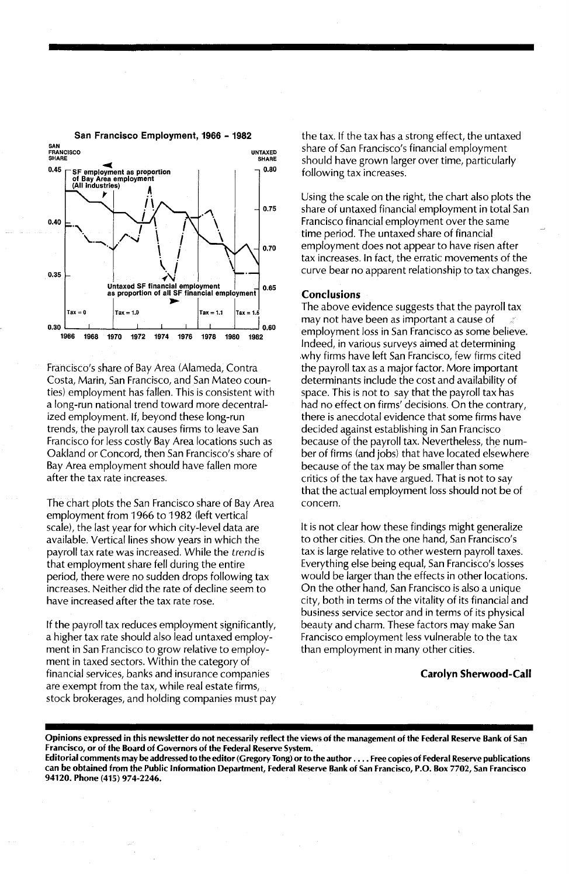

#### San Francisco Employment, 1966 - 1982

Franc:isco's share of Bay Area (Alameda, Contra Costa, Marin, San Francisco, and San Mateo counties) employment has fallen. This is consistent with a long-run national trend toward more decentralized employment. If, beyond these long-run trends, the payroll tax causes firms to leave San Francisco for less costly Bay Area locations such as Oakland or Concord, then San Francisco's share of Bay Area employment should have fallen more after the tax rate increases.

The chart plots the San Francisco share of Bay Area employment from 1966 to 1982 (left vertical scale), the last year for which city-level data are available. Vertical lines show years in which the payroll tax rate was increased. While the *trend* is that employment share fell during the entire period, there were no sudden drops following tax increases. Neither did the rate of decline seem to have increased after the tax rate rose.

If the payroll tax reduces employment significantly, a higher tax rate should also lead untaxed employment in San Francisco to grow relative to employment in taxed sectors. Within the category of financial services, banks and insurance companies are exempt from the tax, while real estate firms, stock brokerages, and holding companies must pay the tax. If the tax has a strong effect, the untaxed share of San Francisco's financial employment should have grown larger over time, particularly folloWing tax increases.

Using the scale on the right, the chart also plots the share of untaxed financial employment in total San Francisco financial employment over the same time period. The untaxed share of financial employment does not appear to have risen after tax increases. In fact, the erratic movements of the curve bear no apparent relationship to tax changes.

#### Conclusions

The above evidence suggests that the payroll tax may not have been as important a cause of employment loss in San Francisco as some believe. Indeed, in various surveys aimed at determining ,why firms have left San Francisco, few firms cited the payroll tax as a major factor. More important determinants include the cost and availability of space. This is not to say that the payroll tax has had no effect on firms' decisions. On the contrary, there is anecdotal evidence that some firms have decided against establishing in San Francisco because of the payroll tax. Nevertheless, the number of firms (and jobs) that have located elsewhere because of the tax may be smaller than some critics of the tax have argued. That is not to say that the actual employment loss should not be of concern.

It is not clear how these findings might generalize to other cities. On the one hand, San Francisco's tax is large relative to other western payroll taxes. Everything else being equal, San Francisco's losses would be larger than the effects in other locations. On the other hand, San Francisco is also a unique city, both in terms of the vitality of its financial and business service sector and in terms of its physical beauty and charm. These factors may make San Francisco employment less vulnerable to the tax than employment in many other cities.

#### Carolyn Sherwood-Call

Opinions expressed in this newsletter do not necessarily reflect the views. of the management of the Federal Reserve Bank of San Francisco, Or of the Board of Governors of the Federal Reserve System. .

Editorial comments may be addressed to the editor (Gregory Tong) or to the author .... Free copies of Federal Reserve publications can be obtained from the Public Information Department, Federal Reserve Bank of San Francisco, P.O. Box 7702, San Francisco 94120. Phone (415) 974-2246.